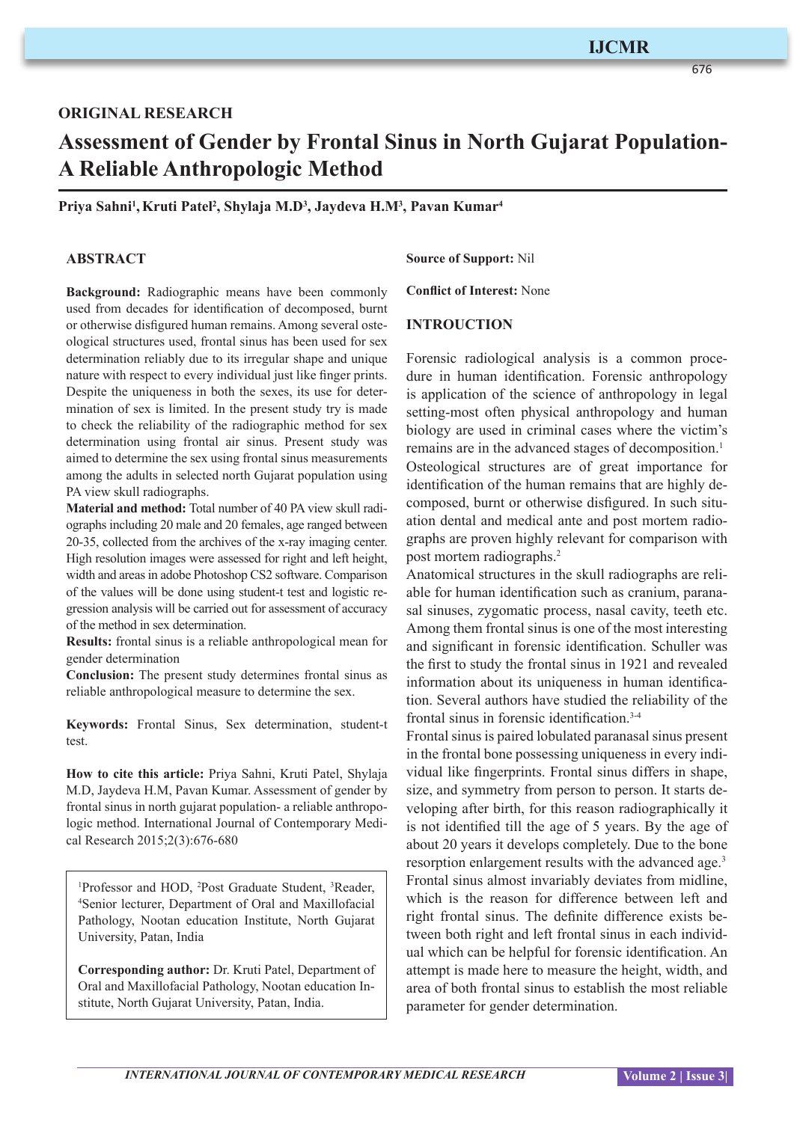676

# **ORIGINAL RESEARCH**

# **Assessment of Gender by Frontal Sinus in North Gujarat Population-A Reliable Anthropologic Method**

**Priya Sahni1 ,Kruti Patel2 , Shylaja M.D3 , Jaydeva H.M3 , Pavan Kumar4**

## **ABSTRACT**

**Background:** Radiographic means have been commonly used from decades for identification of decomposed, burnt or otherwise disfigured human remains. Among several osteological structures used, frontal sinus has been used for sex determination reliably due to its irregular shape and unique nature with respect to every individual just like finger prints. Despite the uniqueness in both the sexes, its use for determination of sex is limited. In the present study try is made to check the reliability of the radiographic method for sex determination using frontal air sinus. Present study was aimed to determine the sex using frontal sinus measurements among the adults in selected north Gujarat population using PA view skull radiographs.

**Material and method:** Total number of 40 PA view skull radiographs including 20 male and 20 females, age ranged between 20-35, collected from the archives of the x-ray imaging center. High resolution images were assessed for right and left height, width and areas in adobe Photoshop CS2 software. Comparison of the values will be done using student-t test and logistic regression analysis will be carried out for assessment of accuracy of the method in sex determination.

**Results:** frontal sinus is a reliable anthropological mean for gender determination

**Conclusion:** The present study determines frontal sinus as reliable anthropological measure to determine the sex.

**Keywords:** Frontal Sinus, Sex determination, student-t test.

**How to cite this article:** Priya Sahni, Kruti Patel, Shylaja M.D, Jaydeva H.M, Pavan Kumar. Assessment of gender by frontal sinus in north gujarat population- a reliable anthropologic method. International Journal of Contemporary Medical Research 2015;2(3):676-680

<sup>1</sup>Professor and HOD, <sup>2</sup>Post Graduate Student, <sup>3</sup>Reader, 4 Senior lecturer, Department of Oral and Maxillofacial Pathology, Nootan education Institute, North Gujarat University, Patan, India

**Corresponding author:** Dr. Kruti Patel, Department of Oral and Maxillofacial Pathology, Nootan education Institute, North Gujarat University, Patan, India.

#### **Source of Support:** Nil

**Conflict of Interest:** None

#### **INTROUCTION**

Forensic radiological analysis is a common procedure in human identification. Forensic anthropology is application of the science of anthropology in legal setting-most often physical anthropology and human biology are used in criminal cases where the victim's remains are in the advanced stages of decomposition.<sup>1</sup> Osteological structures are of great importance for identification of the human remains that are highly decomposed, burnt or otherwise disfigured. In such situation dental and medical ante and post mortem radiographs are proven highly relevant for comparison with post mortem radiographs.<sup>2</sup>

Anatomical structures in the skull radiographs are reliable for human identification such as cranium, paranasal sinuses, zygomatic process, nasal cavity, teeth etc. Among them frontal sinus is one of the most interesting and significant in forensic identification. Schuller was the first to study the frontal sinus in 1921 and revealed information about its uniqueness in human identification. Several authors have studied the reliability of the frontal sinus in forensic identification.3-4

Frontal sinus is paired lobulated paranasal sinus present in the frontal bone possessing uniqueness in every individual like fingerprints. Frontal sinus differs in shape, size, and symmetry from person to person. It starts developing after birth, for this reason radiographically it is not identified till the age of 5 years. By the age of about 20 years it develops completely. Due to the bone resorption enlargement results with the advanced age.<sup>3</sup> Frontal sinus almost invariably deviates from midline, which is the reason for difference between left and right frontal sinus. The definite difference exists between both right and left frontal sinus in each individual which can be helpful for forensic identification. An attempt is made here to measure the height, width, and area of both frontal sinus to establish the most reliable parameter for gender determination.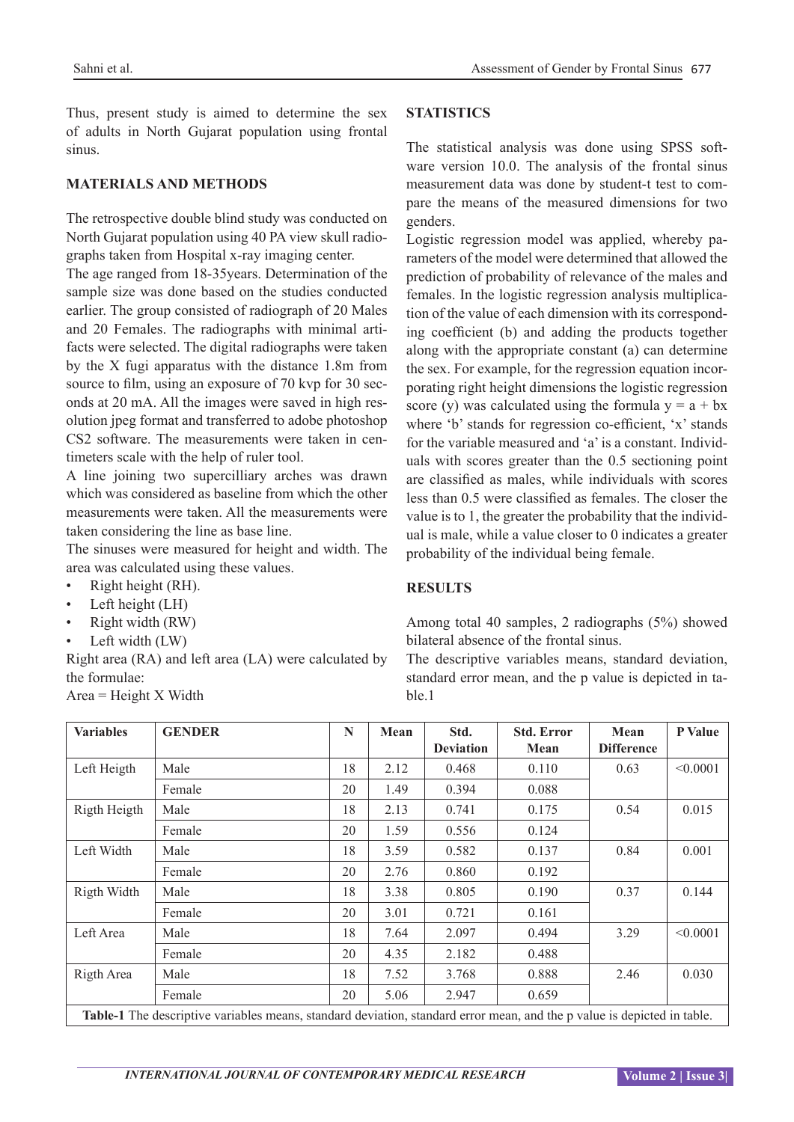Thus, present study is aimed to determine the sex of adults in North Gujarat population using frontal sinus.

#### **MATERIALS AND METHODS**

The retrospective double blind study was conducted on North Gujarat population using 40 PA view skull radiographs taken from Hospital x-ray imaging center.

The age ranged from 18-35years. Determination of the sample size was done based on the studies conducted earlier. The group consisted of radiograph of 20 Males and 20 Females. The radiographs with minimal artifacts were selected. The digital radiographs were taken by the X fugi apparatus with the distance 1.8m from source to film, using an exposure of 70 kvp for 30 seconds at 20 mA. All the images were saved in high resolution jpeg format and transferred to adobe photoshop CS2 software. The measurements were taken in centimeters scale with the help of ruler tool.

A line joining two supercilliary arches was drawn which was considered as baseline from which the other measurements were taken. All the measurements were taken considering the line as base line.

The sinuses were measured for height and width. The area was calculated using these values.

- Right height (RH).
- Left height (LH)
- Right width (RW)
- Left width (LW)

Right area (RA) and left area (LA) were calculated by the formulae:

 $Area = Height X Width$ 

# **STATISTICS**

The statistical analysis was done using SPSS software version 10.0. The analysis of the frontal sinus measurement data was done by student-t test to compare the means of the measured dimensions for two genders.

Logistic regression model was applied, whereby parameters of the model were determined that allowed the prediction of probability of relevance of the males and females. In the logistic regression analysis multiplication of the value of each dimension with its corresponding coefficient (b) and adding the products together along with the appropriate constant (a) can determine the sex. For example, for the regression equation incorporating right height dimensions the logistic regression score (y) was calculated using the formula  $y = a + bx$ where 'b' stands for regression co-efficient, 'x' stands for the variable measured and 'a' is a constant. Individuals with scores greater than the 0.5 sectioning point are classified as males, while individuals with scores less than 0.5 were classified as females. The closer the value is to 1, the greater the probability that the individual is male, while a value closer to 0 indicates a greater probability of the individual being female.

# **RESULTS**

Among total 40 samples, 2 radiographs (5%) showed bilateral absence of the frontal sinus.

The descriptive variables means, standard deviation, standard error mean, and the p value is depicted in table.1

| <b>Variables</b>                                                                                                        | <b>GENDER</b> | N  | Mean | Std.<br><b>Deviation</b> | <b>Std. Error</b><br>Mean | Mean<br><b>Difference</b> | <b>P</b> Value |  |
|-------------------------------------------------------------------------------------------------------------------------|---------------|----|------|--------------------------|---------------------------|---------------------------|----------------|--|
| Left Heigth                                                                                                             | Male          | 18 | 2.12 | 0.468                    | 0.110                     | 0.63                      | < 0.0001       |  |
|                                                                                                                         | Female        | 20 | 1.49 | 0.394                    | 0.088                     |                           |                |  |
| Rigth Heigth                                                                                                            | Male          | 18 | 2.13 | 0.741                    | 0.175                     | 0.54                      | 0.015          |  |
|                                                                                                                         | Female        | 20 | 1.59 | 0.556                    | 0.124                     |                           |                |  |
| Left Width                                                                                                              | Male          | 18 | 3.59 | 0.582                    | 0.137                     | 0.84                      | 0.001          |  |
|                                                                                                                         | Female        | 20 | 2.76 | 0.860                    | 0.192                     |                           |                |  |
| Rigth Width                                                                                                             | Male          | 18 | 3.38 | 0.805                    | 0.190                     | 0.37                      | 0.144          |  |
|                                                                                                                         | Female        | 20 | 3.01 | 0.721                    | 0.161                     |                           |                |  |
| Left Area                                                                                                               | Male          | 18 | 7.64 | 2.097                    | 0.494                     | 3.29                      | < 0.0001       |  |
|                                                                                                                         | Female        | 20 | 4.35 | 2.182                    | 0.488                     |                           |                |  |
| Rigth Area                                                                                                              | Male          | 18 | 7.52 | 3.768                    | 0.888                     | 2.46                      | 0.030          |  |
|                                                                                                                         | Female        | 20 | 5.06 | 2.947                    | 0.659                     |                           |                |  |
| Table-1 The descriptive variables means, standard deviation, standard error mean, and the p value is depicted in table. |               |    |      |                          |                           |                           |                |  |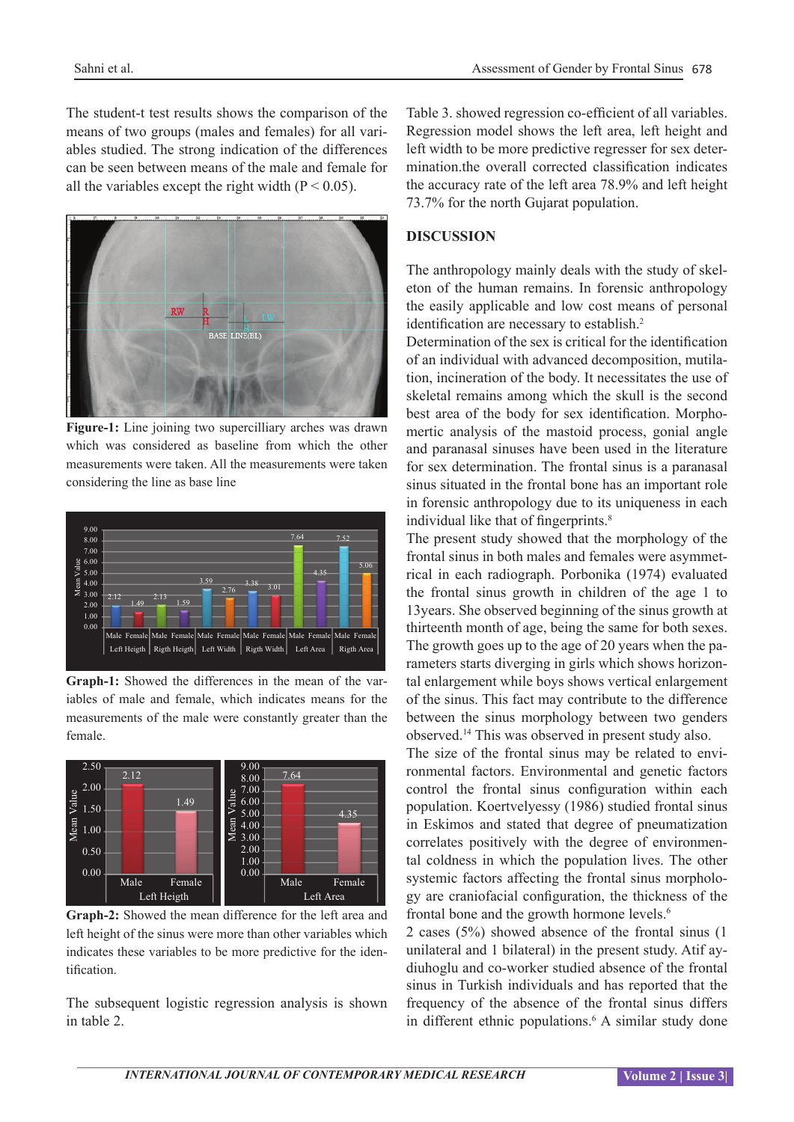The student-t test results shows the comparison of the means of two groups (males and females) for all variables studied. The strong indication of the differences can be seen between means of the male and female for all the variables except the right width  $(P < 0.05)$ .



**Figure-1:** Line joining two supercilliary arches was drawn which was considered as baseline from which the other measurements were taken. All the measurements were taken considering the line as base line



**Graph-1:** Showed the differences in the mean of the variables of male and female, which indicates means for the measurements of the male were constantly greater than the female.



**Graph-2:** Showed the mean difference for the left area and left height of the sinus were more than other variables which indicates these variables to be more predictive for the identification.

The subsequent logistic regression analysis is shown in table 2.

Table 3. showed regression co-efficient of all variables. Regression model shows the left area, left height and left width to be more predictive regresser for sex determination.the overall corrected classification indicates the accuracy rate of the left area 78.9% and left height 73.7% for the north Gujarat population.

### **DISCUSSION**

The anthropology mainly deals with the study of skeleton of the human remains. In forensic anthropology the easily applicable and low cost means of personal identification are necessary to establish.<sup>2</sup>

Determination of the sex is critical for the identification of an individual with advanced decomposition, mutilation, incineration of the body. It necessitates the use of skeletal remains among which the skull is the second best area of the body for sex identification. Morphomertic analysis of the mastoid process, gonial angle and paranasal sinuses have been used in the literature for sex determination. The frontal sinus is a paranasal sinus situated in the frontal bone has an important role in forensic anthropology due to its uniqueness in each individual like that of fingerprints.<sup>8</sup>

The present study showed that the morphology of the frontal sinus in both males and females were asymmetrical in each radiograph. Porbonika (1974) evaluated the frontal sinus growth in children of the age 1 to 13years. She observed beginning of the sinus growth at thirteenth month of age, being the same for both sexes. The growth goes up to the age of 20 years when the parameters starts diverging in girls which shows horizontal enlargement while boys shows vertical enlargement of the sinus. This fact may contribute to the difference between the sinus morphology between two genders observed.<sup>14</sup> This was observed in present study also.

The size of the frontal sinus may be related to environmental factors. Environmental and genetic factors control the frontal sinus configuration within each population. Koertvelyessy (1986) studied frontal sinus in Eskimos and stated that degree of pneumatization correlates positively with the degree of environmental coldness in which the population lives. The other systemic factors affecting the frontal sinus morphology are craniofacial configuration, the thickness of the frontal bone and the growth hormone levels.<sup>6</sup>

2 cases (5%) showed absence of the frontal sinus (1 unilateral and 1 bilateral) in the present study. Atif aydiuhoglu and co-worker studied absence of the frontal sinus in Turkish individuals and has reported that the frequency of the absence of the frontal sinus differs in different ethnic populations.<sup>6</sup> A similar study done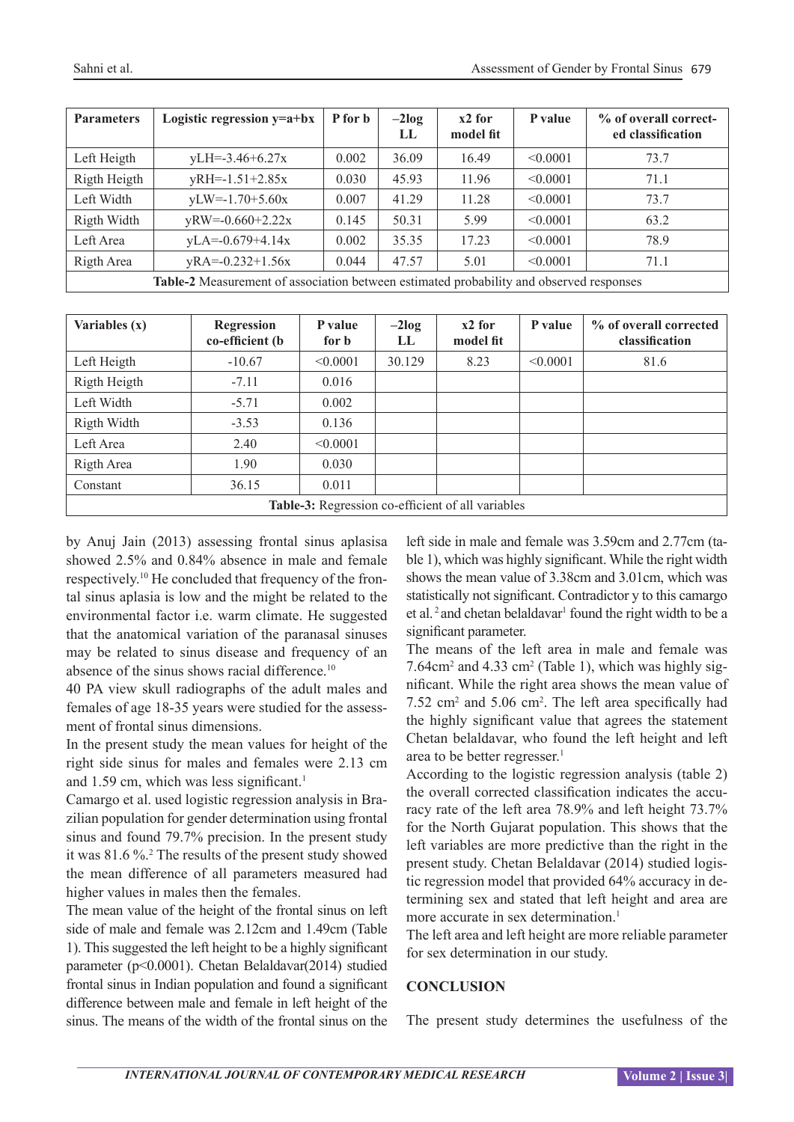| <b>Parameters</b>                                                                       | Logistic regression $y=a+bx$ | P for b | $-2log$<br>LL | $x2$ for<br>model fit | P value  | % of overall correct-<br>ed classification |
|-----------------------------------------------------------------------------------------|------------------------------|---------|---------------|-----------------------|----------|--------------------------------------------|
| Left Heigth                                                                             | $yLH = -3.46 + 6.27x$        | 0.002   | 36.09         | 16.49                 | < 0.0001 | 73.7                                       |
| Rigth Heigth                                                                            | $yRH=-1.51+2.85x$            | 0.030   | 45.93         | 11.96                 | < 0.0001 | 71.1                                       |
| Left Width                                                                              | $yLW = -1.70 + 5.60x$        | 0.007   | 41.29         | 11.28                 | < 0.0001 | 73.7                                       |
| Rigth Width                                                                             | $yRW=0.660+2.22x$            | 0.145   | 50.31         | 5.99                  | < 0.0001 | 63.2                                       |
| Left Area                                                                               | $yLA = -0.679 + 4.14x$       | 0.002   | 35.35         | 17.23                 | < 0.0001 | 78.9                                       |
| Rigth Area                                                                              | $yRA = -0.232 + 1.56x$       | 0.044   | 47.57         | 5.01                  | < 0.0001 | 71.1                                       |
| Table-2 Measurement of association between estimated probability and observed responses |                              |         |               |                       |          |                                            |

| Variables (x)                                     | <b>Regression</b><br>co-efficient (b | P value<br>for <b>b</b> | $-2log$<br>LL | $x2$ for<br>model fit | P value  | % of overall corrected<br>classification |  |
|---------------------------------------------------|--------------------------------------|-------------------------|---------------|-----------------------|----------|------------------------------------------|--|
| Left Heigth                                       | $-10.67$                             | < 0.0001                | 30.129        | 8.23                  | < 0.0001 | 81.6                                     |  |
| Rigth Heigth                                      | $-7.11$                              | 0.016                   |               |                       |          |                                          |  |
| Left Width                                        | $-5.71$                              | 0.002                   |               |                       |          |                                          |  |
| Rigth Width                                       | $-3.53$                              | 0.136                   |               |                       |          |                                          |  |
| Left Area                                         | 2.40                                 | < 0.0001                |               |                       |          |                                          |  |
| Rigth Area                                        | 1.90                                 | 0.030                   |               |                       |          |                                          |  |
| Constant                                          | 36.15                                | 0.011                   |               |                       |          |                                          |  |
| Table-3: Regression co-efficient of all variables |                                      |                         |               |                       |          |                                          |  |

by Anuj Jain (2013) assessing frontal sinus aplasisa showed 2.5% and 0.84% absence in male and female respectively.10 He concluded that frequency of the frontal sinus aplasia is low and the might be related to the environmental factor i.e. warm climate. He suggested that the anatomical variation of the paranasal sinuses may be related to sinus disease and frequency of an absence of the sinus shows racial difference.<sup>10</sup>

40 PA view skull radiographs of the adult males and females of age 18-35 years were studied for the assessment of frontal sinus dimensions.

In the present study the mean values for height of the right side sinus for males and females were 2.13 cm and  $1.59$  cm, which was less significant.<sup>1</sup>

Camargo et al. used logistic regression analysis in Brazilian population for gender determination using frontal sinus and found 79.7% precision. In the present study it was 81.6 %.<sup>2</sup> The results of the present study showed the mean difference of all parameters measured had higher values in males then the females.

The mean value of the height of the frontal sinus on left side of male and female was 2.12cm and 1.49cm (Table 1). This suggested the left height to be a highly significant parameter (p<0.0001). Chetan Belaldavar(2014) studied frontal sinus in Indian population and found a significant difference between male and female in left height of the sinus. The means of the width of the frontal sinus on the

left side in male and female was 3.59cm and 2.77cm (table 1), which was highly significant. While the right width shows the mean value of 3.38cm and 3.01cm, which was statistically not significant. Contradictor y to this camargo et al.<sup>2</sup> and chetan belaldavar<sup>1</sup> found the right width to be a significant parameter.

The means of the left area in male and female was 7.64cm<sup>2</sup> and 4.33 cm<sup>2</sup> (Table 1), which was highly significant. While the right area shows the mean value of  $7.52 \text{ cm}^2$  and  $5.06 \text{ cm}^2$ . The left area specifically had the highly significant value that agrees the statement Chetan belaldavar, who found the left height and left area to be better regresser.<sup>1</sup>

According to the logistic regression analysis (table 2) the overall corrected classification indicates the accuracy rate of the left area 78.9% and left height 73.7% for the North Gujarat population. This shows that the left variables are more predictive than the right in the present study. Chetan Belaldavar (2014) studied logistic regression model that provided 64% accuracy in determining sex and stated that left height and area are more accurate in sex determination.<sup>1</sup>

The left area and left height are more reliable parameter for sex determination in our study.

# **CONCLUSION**

The present study determines the usefulness of the